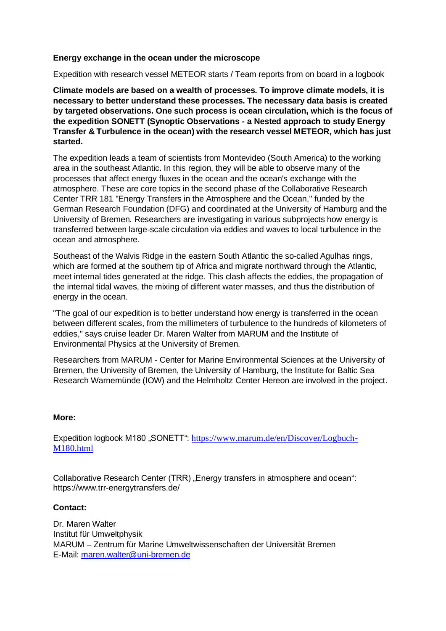## **Energy exchange in the ocean under the microscope**

Expedition with research vessel METEOR starts / Team reports from on board in a logbook

**Climate models are based on a wealth of processes. To improve climate models, it is necessary to better understand these processes. The necessary data basis is created by targeted observations. One such process is ocean circulation, which is the focus of the expedition SONETT (Synoptic Observations - a Nested approach to study Energy Transfer & Turbulence in the ocean) with the research vessel METEOR, which has just started.** 

The expedition leads a team of scientists from Montevideo (South America) to the working area in the southeast Atlantic. In this region, they will be able to observe many of the processes that affect energy fluxes in the ocean and the ocean's exchange with the atmosphere. These are core topics in the second phase of the Collaborative Research Center TRR 181 "Energy Transfers in the Atmosphere and the Ocean," funded by the German Research Foundation (DFG) and coordinated at the University of Hamburg and the University of Bremen. Researchers are investigating in various subprojects how energy is transferred between large-scale circulation via eddies and waves to local turbulence in the ocean and atmosphere.

Southeast of the Walvis Ridge in the eastern South Atlantic the so-called Agulhas rings, which are formed at the southern tip of Africa and migrate northward through the Atlantic, meet internal tides generated at the ridge. This clash affects the eddies, the propagation of the internal tidal waves, the mixing of different water masses, and thus the distribution of energy in the ocean.

"The goal of our expedition is to better understand how energy is transferred in the ocean between different scales, from the millimeters of turbulence to the hundreds of kilometers of eddies," says cruise leader Dr. Maren Walter from MARUM and the Institute of Environmental Physics at the University of Bremen.

Researchers from MARUM - Center for Marine Environmental Sciences at the University of Bremen, the University of Bremen, the University of Hamburg, the Institute for Baltic Sea Research Warnemünde (IOW) and the Helmholtz Center Hereon are involved in the project.

## **More:**

Expedition logbook M180 "SONETT": [https://www.marum.de/en/Discover/Logbuch-](https://www.marum.de/en/Discover/Logbuch-M180.html)[M180.html](https://www.marum.de/en/Discover/Logbuch-M180.html)

Collaborative Research Center (TRR) "Energy transfers in atmosphere and ocean": https://www.trr-energytransfers.de/

## **Contact:**

Dr. Maren Walter Institut für Umweltphysik MARUM – Zentrum für Marine Umweltwissenschaften der Universität Bremen E-Mail: [maren.walter@uni-bremen.de](mailto:maren.walter@uni-bremen.de)